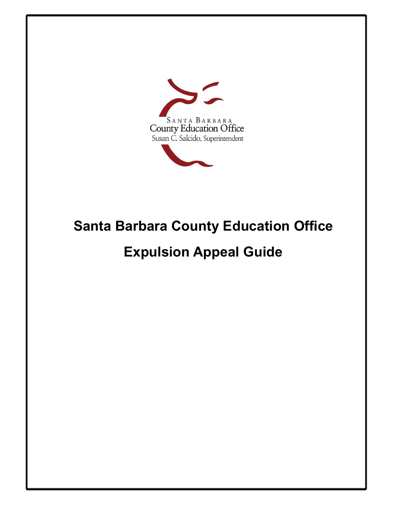

# **Santa Barbara County Education Office**

# **Expulsion Appeal Guide**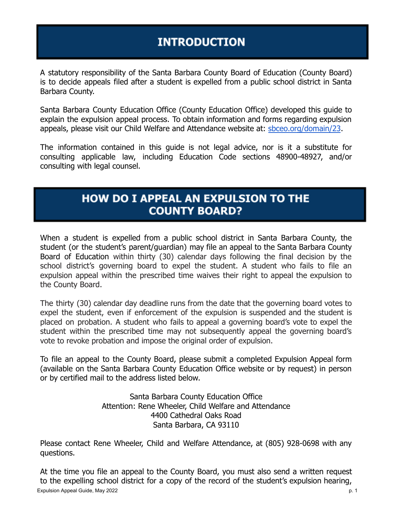# **INTRODUCTION**

A statutory responsibility of the Santa Barbara County Board of Education (County Board) is to decide appeals filed after a student is expelled from a public school district in Santa Barbara County.

Santa Barbara County Education Office (County Education Office) developed this guide to explain the expulsion appeal process. To obtain information and forms regarding expulsion appeals, please visit our Child Welfare and Attendance website at: [sbceo.org/domain/23](http://sbceo.org/domain/23).

The information contained in this guide is not legal advice, nor is it a substitute for consulting applicable law, including Education Code sections 48900-48927, and/or consulting with legal counsel.

### **HOW DO I APPEAL AN EXPULSION TO THE COUNTY BOARD?**

When a student is expelled from a public school district in Santa Barbara County, the student (or the student's parent/guardian) may file an appeal to the Santa Barbara County Board of Education within thirty (30) calendar days following the final decision by the school district's governing board to expel the student. A student who fails to file an expulsion appeal within the prescribed time waives their right to appeal the expulsion to the County Board.

The thirty (30) calendar day deadline runs from the date that the governing board votes to expel the student, even if enforcement of the expulsion is suspended and the student is placed on probation. A student who fails to appeal a governing board's vote to expel the student within the prescribed time may not subsequently appeal the governing board's vote to revoke probation and impose the original order of expulsion.

To file an appeal to the County Board, please submit a completed Expulsion Appeal form (available on the Santa Barbara County Education Office website or by request) in person or by certified mail to the address listed below.

> Santa Barbara County Education Office Attention: Rene Wheeler, Child Welfare and Attendance 4400 Cathedral Oaks Road Santa Barbara, CA 93110

Please contact Rene Wheeler, Child and Welfare Attendance, at (805) 928-0698 with any questions.

At the time you file an appeal to the County Board, you must also send a written request to the expelling school district for a copy of the record of the student's expulsion hearing, Expulsion Appeal Guide, May 2022 **p. 1** and the set of the set of the set of the set of the set of the set of the set of the set of the set of the set of the set of the set of the set of the set of the set of the set of th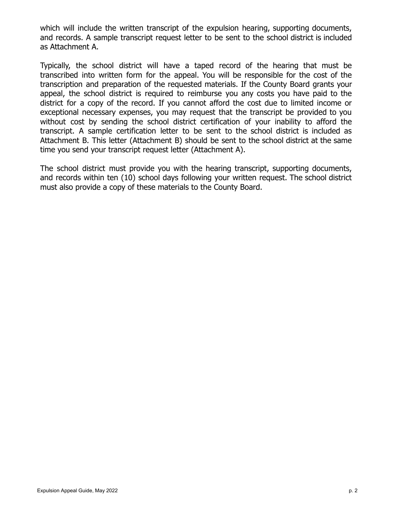which will include the written transcript of the expulsion hearing, supporting documents, and records. A sample transcript request letter to be sent to the school district is included as Attachment A.

Typically, the school district will have a taped record of the hearing that must be transcribed into written form for the appeal. You will be responsible for the cost of the transcription and preparation of the requested materials. If the County Board grants your appeal, the school district is required to reimburse you any costs you have paid to the district for a copy of the record. If you cannot afford the cost due to limited income or exceptional necessary expenses, you may request that the transcript be provided to you without cost by sending the school district certification of your inability to afford the transcript. A sample certification letter to be sent to the school district is included as Attachment B. This letter (Attachment B) should be sent to the school district at the same time you send your transcript request letter (Attachment A).

The school district must provide you with the hearing transcript, supporting documents, and records within ten (10) school days following your written request. The school district must also provide a copy of these materials to the County Board.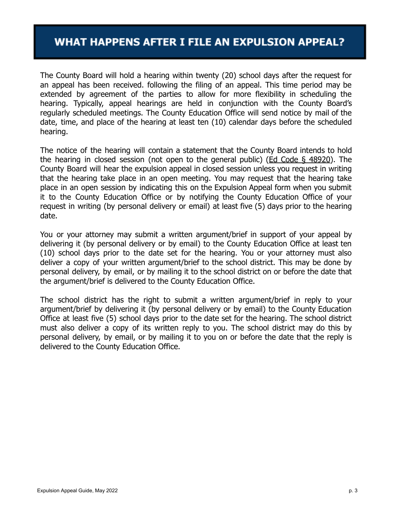#### **WHAT HAPPENS AFTER I FILE AN EXPULSION APPEAL?**

The County Board will hold a hearing within twenty (20) school days after the request for an appeal has been received. following the filing of an appeal. This time period may be extended by agreement of the parties to allow for more flexibility in scheduling the hearing. Typically, appeal hearings are held in conjunction with the County Board's regularly scheduled meetings. The County Education Office will send notice by mail of the date, time, and place of the hearing at least ten (10) calendar days before the scheduled hearing.

The notice of the hearing will contain a statement that the County Board intends to hold the hearing in closed session (not open to the general public) ([Ed Code § 48920\)](https://leginfo.legislature.ca.gov/faces/codes_displaySection.xhtml?sectionNum=48920.&lawCode=EDC). The County Board will hear the expulsion appeal in closed session unless you request in writing that the hearing take place in an open meeting. You may request that the hearing take place in an open session by indicating this on the Expulsion Appeal form when you submit it to the County Education Office or by notifying the County Education Office of your request in writing (by personal delivery or email) at least five (5) days prior to the hearing date.

You or your attorney may submit a written argument/brief in support of your appeal by delivering it (by personal delivery or by email) to the County Education Office at least ten (10) school days prior to the date set for the hearing. You or your attorney must also deliver a copy of your written argument/brief to the school district. This may be done by personal delivery, by email, or by mailing it to the school district on or before the date that the argument/brief is delivered to the County Education Office.

The school district has the right to submit a written argument/brief in reply to your argument/brief by delivering it (by personal delivery or by email) to the County Education Office at least five (5) school days prior to the date set for the hearing. The school district must also deliver a copy of its written reply to you. The school district may do this by personal delivery, by email, or by mailing it to you on or before the date that the reply is delivered to the County Education Office.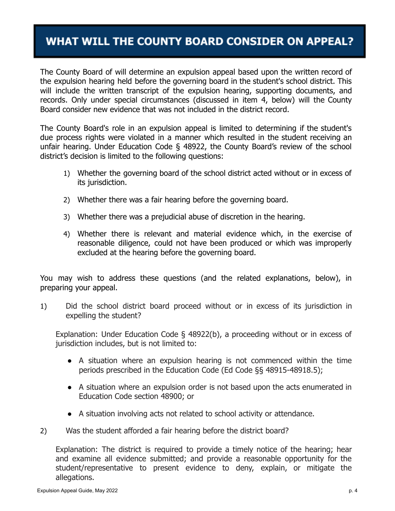## WHAT WILL THE COUNTY BOARD CONSIDER ON APPEAL?

The County Board of will determine an expulsion appeal based upon the written record of the expulsion hearing held before the governing board in the student's school district. This will include the written transcript of the expulsion hearing, supporting documents, and records. Only under special circumstances (discussed in item 4, below) will the County Board consider new evidence that was not included in the district record.

The County Board's role in an expulsion appeal is limited to determining if the student's due process rights were violated in a manner which resulted in the student receiving an unfair hearing. Under Education Code § 48922, the County Board's review of the school district's decision is limited to the following questions:

- 1) Whether the governing board of the school district acted without or in excess of its jurisdiction.
- 2) Whether there was a fair hearing before the governing board.
- 3) Whether there was a prejudicial abuse of discretion in the hearing.
- 4) Whether there is relevant and material evidence which, in the exercise of reasonable diligence, could not have been produced or which was improperly excluded at the hearing before the governing board.

You may wish to address these questions (and the related explanations, below), in preparing your appeal.

1) Did the school district board proceed without or in excess of its jurisdiction in expelling the student?

Explanation: Under Education Code § 48922(b), a proceeding without or in excess of jurisdiction includes, but is not limited to:

- A situation where an expulsion hearing is not commenced within the time periods prescribed in the Education Code (Ed Code §§ 48915-48918.5);
- A situation where an expulsion order is not based upon the acts enumerated in Education Code section 48900; or
- A situation involving acts not related to school activity or attendance.
- 2) Was the student afforded a fair hearing before the district board?

Explanation: The district is required to provide a timely notice of the hearing; hear and examine all evidence submitted; and provide a reasonable opportunity for the student/representative to present evidence to deny, explain, or mitigate the allegations.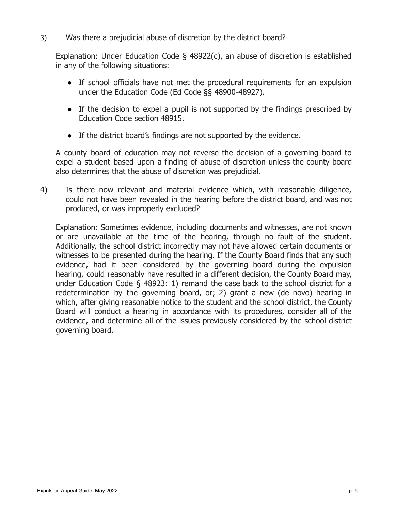3) Was there a prejudicial abuse of discretion by the district board?

Explanation: Under Education Code § 48922(c), an abuse of discretion is established in any of the following situations:

- If school officials have not met the procedural requirements for an expulsion under the Education Code (Ed Code §§ 48900-48927).
- If the decision to expel a pupil is not supported by the findings prescribed by Education Code section 48915.
- If the district board's findings are not supported by the evidence.

A county board of education may not reverse the decision of a governing board to expel a student based upon a finding of abuse of discretion unless the county board also determines that the abuse of discretion was prejudicial.

4) Is there now relevant and material evidence which, with reasonable diligence, could not have been revealed in the hearing before the district board, and was not produced, or was improperly excluded?

Explanation: Sometimes evidence, including documents and witnesses, are not known or are unavailable at the time of the hearing, through no fault of the student. Additionally, the school district incorrectly may not have allowed certain documents or witnesses to be presented during the hearing. If the County Board finds that any such evidence, had it been considered by the governing board during the expulsion hearing, could reasonably have resulted in a different decision, the County Board may, under Education Code § 48923: 1) remand the case back to the school district for a redetermination by the governing board, or; 2) grant a new (de novo) hearing in which, after giving reasonable notice to the student and the school district, the County Board will conduct a hearing in accordance with its procedures, consider all of the evidence, and determine all of the issues previously considered by the school district governing board.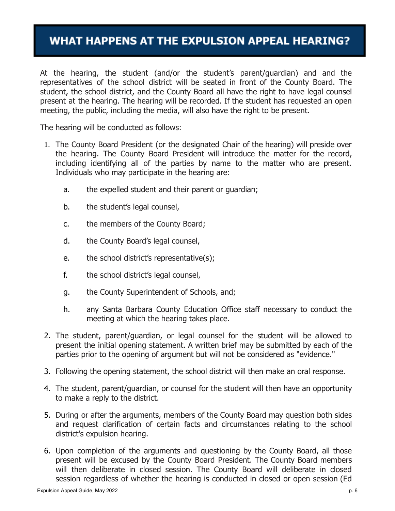### **WHAT HAPPENS AT THE EXPULSION APPEAL HEARING?**

At the hearing, the student (and/or the student's parent/guardian) and and the representatives of the school district will be seated in front of the County Board. The student, the school district, and the County Board all have the right to have legal counsel present at the hearing. The hearing will be recorded. If the student has requested an open meeting, the public, including the media, will also have the right to be present.

The hearing will be conducted as follows:

- 1. The County Board President (or the designated Chair of the hearing) will preside over the hearing. The County Board President will introduce the matter for the record, including identifying all of the parties by name to the matter who are present. Individuals who may participate in the hearing are:
	- a. the expelled student and their parent or guardian;
	- b. the student's legal counsel,
	- c. the members of the County Board;
	- d. the County Board's legal counsel,
	- e. the school district's representative(s);
	- f. the school district's legal counsel,
	- g. the County Superintendent of Schools, and;
	- h. any Santa Barbara County Education Office staff necessary to conduct the meeting at which the hearing takes place.
- 2. The student, parent/guardian, or legal counsel for the student will be allowed to present the initial opening statement. A written brief may be submitted by each of the parties prior to the opening of argument but will not be considered as "evidence."
- 3. Following the opening statement, the school district will then make an oral response.
- 4. The student, parent/guardian, or counsel for the student will then have an opportunity to make a reply to the district.
- 5. During or after the arguments, members of the County Board may question both sides and request clarification of certain facts and circumstances relating to the school district's expulsion hearing.
- 6. Upon completion of the arguments and questioning by the County Board, all those present will be excused by the County Board President. The County Board members will then deliberate in closed session. The County Board will deliberate in closed session regardless of whether the hearing is conducted in closed or open session (Ed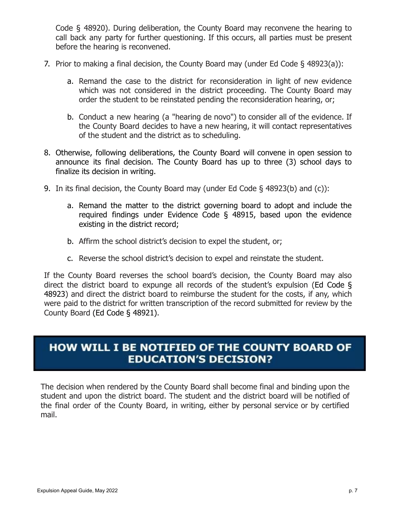Code § 48920). During deliberation, the County Board may reconvene the hearing to call back any party for further questioning. If this occurs, all parties must be present before the hearing is reconvened.

- 7. Prior to making a final decision, the County Board may (under Ed Code § 48923(a)):
	- a. Remand the case to the district for reconsideration in light of new evidence which was not considered in the district proceeding. The County Board may order the student to be reinstated pending the reconsideration hearing, or;
	- b. Conduct a new hearing (a "hearing de novo") to consider all of the evidence. If the County Board decides to have a new hearing, it will contact representatives of the student and the district as to scheduling.
- 8. Otherwise, following deliberations, the County Board will convene in open session to announce its final decision. The County Board has up to three (3) school days to finalize its decision in writing.
- 9. In its final decision, the County Board may (under Ed Code § 48923(b) and (c)):
	- a. Remand the matter to the district governing board to adopt and include the required findings under Evidence Code § 48915, based upon the evidence existing in the district record;
	- b. Affirm the school district's decision to expel the student, or;
	- c. Reverse the school district's decision to expel and reinstate the student.

If the County Board reverses the school board's decision, the County Board may also direct the district board to expunge all records of the student's expulsion ([Ed Code §](https://leginfo.legislature.ca.gov/faces/codes_displaySection.xhtml?sectionNum=48923.&nodeTreePath=2.3.3.7.1&lawCode=EDC) [48923](https://leginfo.legislature.ca.gov/faces/codes_displaySection.xhtml?sectionNum=48923.&nodeTreePath=2.3.3.7.1&lawCode=EDC)) and direct the district board to reimburse the student for the costs, if any, which were paid to the district for written transcription of the record submitted for review by the County Board [\(Ed Code § 48921\)](https://leginfo.legislature.ca.gov/faces/codes_displaySection.xhtml?sectionNum=48921.&nodeTreePath=2.3.3.7.1&lawCode=EDC).

#### HOW WILL I BE NOTIFIED OF THE COUNTY BOARD OF **EDUCATION'S DECISION?**

The decision when rendered by the County Board shall become final and binding upon the student and upon the district board. The student and the district board will be notified of the final order of the County Board, in writing, either by personal service or by certified mail.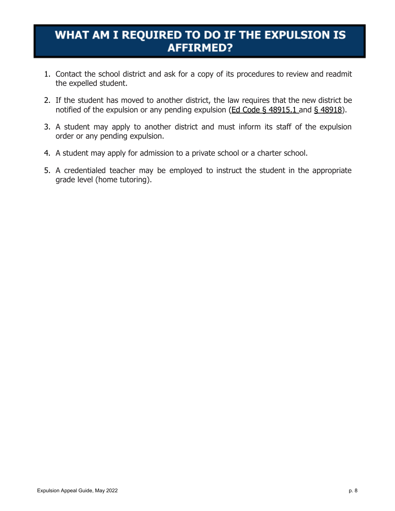## WHAT AM I REQUIRED TO DO IF THE EXPULSION IS **AFFIRMED?**

- 1. Contact the school district and ask for a copy of its procedures to review and readmit the expelled student.
- 2. If the student has moved to another district, the law requires that the new district be notified of the expulsion or any pending expulsion ( $Ed Code \S 48915.1$  and  $\S 48918$ ).
- 3. A student may apply to another district and must inform its staff of the expulsion order or any pending expulsion.
- 4. A student may apply for admission to a private school or a charter school.
- 5. A credentialed teacher may be employed to instruct the student in the appropriate grade level (home tutoring).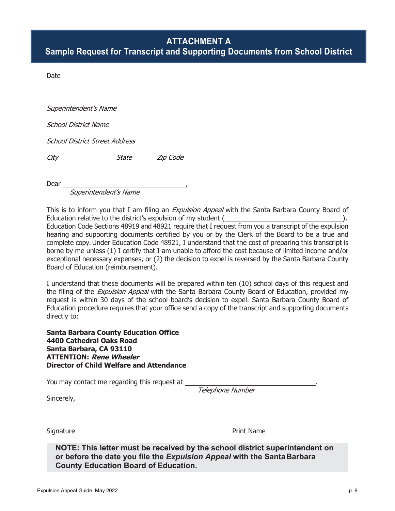#### **ATTACHMENT A**

**Sample Request for Transcript and Supporting Documents from School District**

Date

Superintendent's Name

School District Name

School District Street Address

City State Zip Code

**Dear** 

Superintendent's Name

This is to inform you that I am filing an *Expulsion Appeal* with the Santa Barbara County Board of Education relative to the district's expulsion of my student ( ). Education Code Sections 48919 and 48921 require that I request from you a transcript of the expulsion hearing and supporting documents certified by you or by the Clerk of the Board to be a true and complete copy. Under Education Code 48921, I understand that the cost of preparing this transcript is borne by me unless (1) I certify that I am unable to afford the cost because of limited income and/or exceptional necessary expenses, or (2) the decision to expel is reversed by the Santa Barbara County Board of Education (reimbursement).

I understand that these documents will be prepared within ten (10) school days of this request and the filing of the *Expulsion Appeal* with the Santa Barbara County Board of Education, provided my request is within 30 days of the school board's decision to expel. Santa Barbara County Board of Education procedure requires that your office send a copy of the transcript and supporting documents directly to:

**Santa Barbara County Education Office 4400 Cathedral Oaks Road Santa Barbara, CA 93110 ATTENTION: Rene Wheeler Director of Child Welfare and Attendance**

You may contact me regarding this request at \_

Sincerely,

Telephone Number

Signature **Print Name** 

**NOTE: This letter must be received by the school district superintendent on or before the date you file the** *Expulsion Appeal* **with the Santa Barbara County Education Board of Education.**